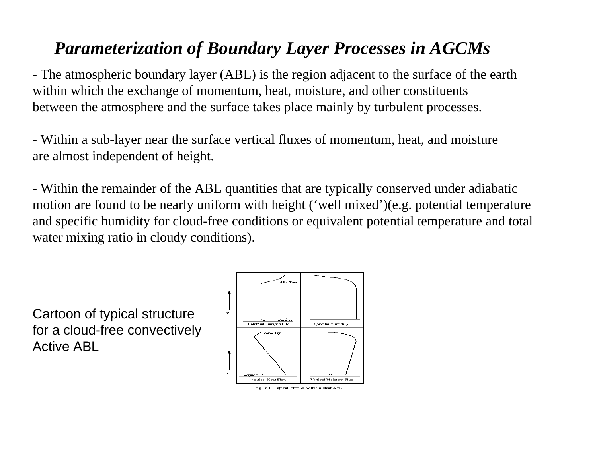## *Parameterization of Boundary Layer Processes in AGCMs*

- The atmospheric boundary layer (ABL) is the region adjacent to the surface of the earth within which the exchange of momentum, heat, moisture, and other constituents between the atmosphere and the surface takes place mainly by turbulent processes.

- Within a sub-layer near the surface vertical fluxes of momentum, heat, and moisture are almost independent of height.

- Within the remainder of the ABL quantities that are typically conserved under adiabatic motion are found to be nearly uniform with height ('well mixed')(e.g. potential temperature and specific humidity for cloud-free conditions or equivalent potential temperature and total water mixing ratio in cloudy conditions).

Cartoon of typical structure for a cloud-free convectively Active ABL



Figure 1. Typical profiles within a clear ABL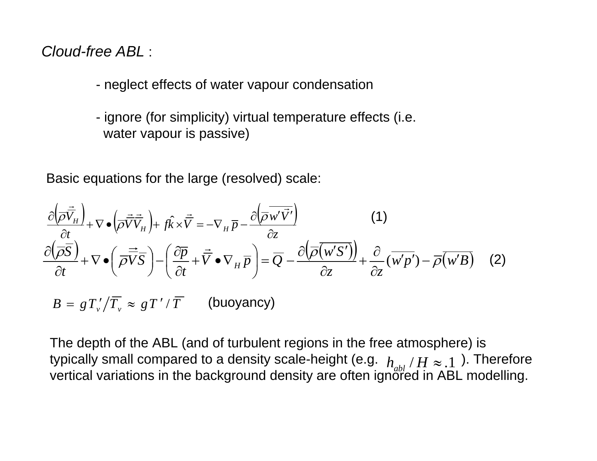*Cloud-free ABL* :

- neglect effects of water vapour condensation
- ignore (for simplicity) virtual temperature effects (i.e. water vapour is passive)

Basic equations for the large (resolved) scale:

$$
\frac{\partial \left(\overrightarrow{\rho} \overrightarrow{\overrightarrow{V}}_{H}\right)}{\partial t} + \nabla \bullet \left(\overrightarrow{\rho} \overrightarrow{\overrightarrow{V}} \overrightarrow{V}_{H}\right) + f\hat{k} \times \overrightarrow{V} = -\nabla_{H} \overrightarrow{p} - \frac{\partial \left(\overrightarrow{\overrightarrow{\rho} w' \overrightarrow{V'}}\right)}{\partial z}
$$
(1)  

$$
\frac{\partial \left(\overrightarrow{\overrightarrow{\rho S}}\right)}{\partial t} + \nabla \bullet \left(\overrightarrow{\overrightarrow{\rho V}} \overrightarrow{S}\right) - \left(\frac{\partial \overrightarrow{p}}{\partial t} + \overrightarrow{\overrightarrow{V}} \bullet \nabla_{H} \overrightarrow{p}\right) = \overrightarrow{Q} - \frac{\partial \left(\overrightarrow{\overrightarrow{\rho} \left(w'S'\right)}\right)}{\partial z} + \frac{\partial}{\partial z} \left(\overrightarrow{w'p'}\right) - \overrightarrow{\overrightarrow{\rho} \left(w'B\right)}
$$
(2)  

$$
B = gT'_{v}/\overrightarrow{T}_{v} \approx gT'/\overrightarrow{T}
$$
(buoyancy)

The depth of the ABL (and of turbulent regions in the free atmosphere) is typically small compared to a density scale-height (e.g.  $\left| {h_{ab}^{}} \right>/H \approx .1$  ). Therefore vertical variations in the background density are often ignored in ABL modelling.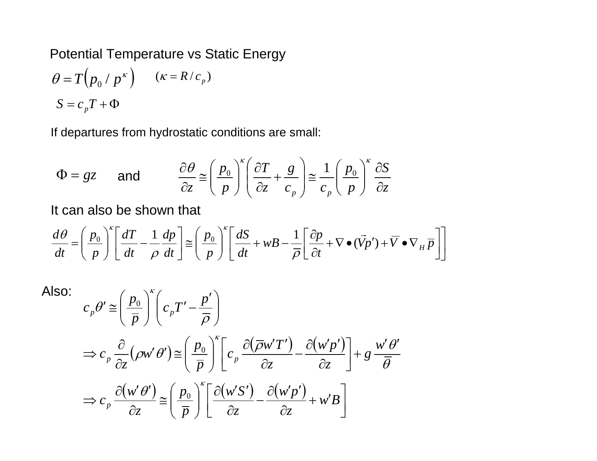Potential Temperature vs Static Energy

$$
\theta = T(p_0 / p^{\kappa}) \qquad (\kappa = R / c_p)
$$

$$
S = c_p T + \Phi
$$

If departures from hydrostatic conditions are small:

$$
\Phi = gz \quad \text{and} \quad \frac{\partial \theta}{\partial z} \equiv \left(\frac{p_0}{p}\right)^{\kappa} \left(\frac{\partial T}{\partial z} + \frac{g}{c_p}\right) \equiv \frac{1}{c_p} \left(\frac{p_0}{p}\right)^{\kappa} \frac{\partial S}{\partial z}
$$

It can also be shown that

$$
\frac{d\theta}{dt} = \left(\frac{p_0}{p}\right)^{\kappa} \left[\frac{dT}{dt} - \frac{1}{p}\frac{dp}{dt}\right] \approx \left(\frac{p_0}{p}\right)^{\kappa} \left[\frac{dS}{dt} + wB - \frac{1}{\overline{\rho}}\left[\frac{\partial p}{\partial t} + \nabla \bullet (\vec{V}p') + \overline{V} \bullet \nabla_H \overline{p}\right]\right]
$$

Also:

$$
c_p \theta' \cong \left(\frac{p_0}{\overline{p}}\right)^{\kappa} \left(c_p T' - \frac{p'}{\overline{\rho}}\right)
$$
  
\n
$$
\Rightarrow c_p \frac{\partial}{\partial z} (\rho w' \theta') \cong \left(\frac{p_0}{\overline{p}}\right)^{\kappa} \left[c_p \frac{\partial(\overline{\rho} w' T')}{\partial z} - \frac{\partial(w' p')}{\partial z}\right] + g \frac{w' \theta'}{\overline{\theta}}
$$
  
\n
$$
\Rightarrow c_p \frac{\partial(w' \theta')}{\partial z} \cong \left(\frac{p_0}{\overline{p}}\right)^{\kappa} \left[\frac{\partial(w' S')}{\partial z} - \frac{\partial(w' p')}{\partial z} + w' B\right]
$$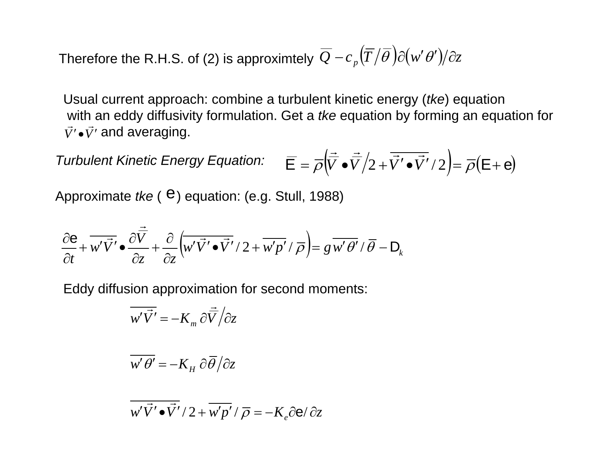Therefore the R.H.S. of (2) is approximtely  $\overline{\mathcal{Q}}-c_{_{P}}\big(\overline{T}/\overline{\theta}\hspace{0.5pt}\big)\partial(w'\hspace{0.5pt}\theta')\!/\partial z$ 

Usual current approach: combine a turbulent kinetic energy (*tke*) equation with an eddy diffusivity formulation. Get a *tke* equation by forming an equation for  $\vec{V}' \cdot \vec{V}'$  and averaging.

*Turbulent Kinetic Energy Equation:*  $\overline{\mathsf{E}} = \overline{\rho} \left( \overline{\vec{V}} \cdot \overline{\vec{V}} / 2 + \overline{\vec{V}}' \cdot \overline{\vec{V}}' / 2 \right) = \overline{\rho} (\mathsf{E} + \mathsf{e})$ )

Approximate  $tke$  ( $\theta$ ) equation: (e.g. Stull, 1988)

$$
\frac{\partial \mathbf{e}}{\partial t} + \overline{w' \vec{V'}} \bullet \frac{\partial \vec{\overline{V}}}{\partial z} + \frac{\partial}{\partial z} (\overline{w' \vec{V'}} \bullet \overline{\vec{V'}} / 2 + \overline{w'p'} / \overline{\rho}) = g \overline{w' \theta'} / \overline{\theta} - \mathbf{D}_k
$$

Eddy diffusion approximation for second moments:

$$
\overline{w'\vec{V'}} = -K_m \partial \vec{\overline{V}} / \partial z
$$

$$
\overline{w'\theta'} = -K_H \partial \overline{\theta}/\partial z
$$

$$
\overline{w'\vec{V'}\bullet\vec{V'}}/2+\overline{w'p'}/\overline{\rho}=-K_e\partial\mathbf{e}/\partial z
$$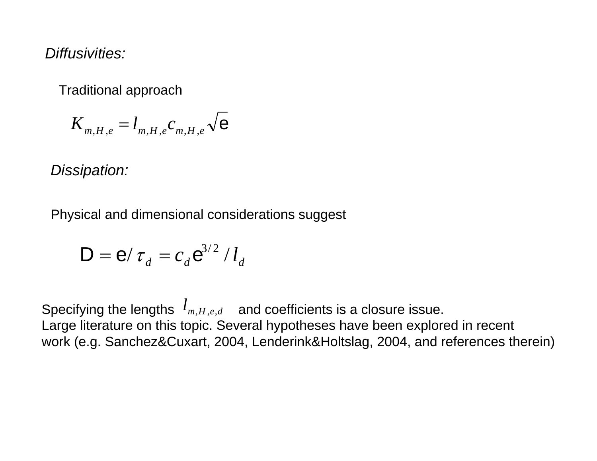*Diffusivities:*

Traditional approach

$$
K_{m,H,e}=l_{m,H,e}c_{m,H,e}\sqrt{\mathbf{e}}
$$

*Dissipation:*

Physical and dimensional considerations suggest

$$
\mathbf{D} = \mathbf{e}/\tau_d = c_d \mathbf{e}^{3/2} / l_d
$$

Specifying the lengths  $\;l_{m,H,e,d}\;$  and coefficients is a closure issue. Large literature on this topic. Several hypotheses have been explored in recent work (e.g. Sanchez&Cuxart, 2004, Lenderink&Holtslag, 2004, and references therein)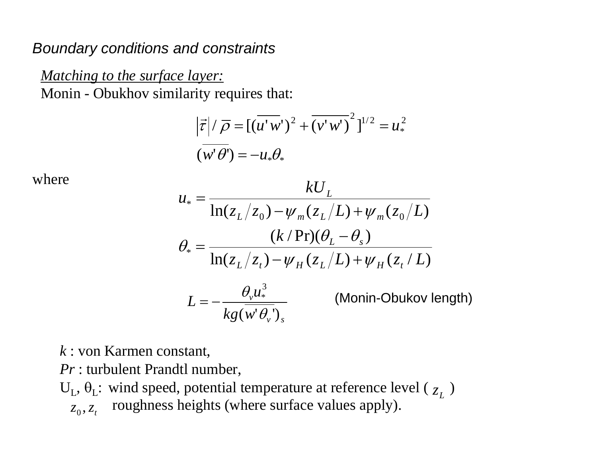## *Boundary conditions and constraints*

*Matching to the surface layer:*  Monin - Obukhov similarity requires that:

$$
\left|\vec{\tau}\right|/\overline{\rho} = \left[\left(\overline{u'w'}\right)^2 + \overline{\left(v'w'\right)}^2\right]^{1/2} = u_*^2
$$
  

$$
\left(\overline{w'\theta'}\right) = -u_*\theta_*
$$

where

$$
u_* = \frac{kU_L}{\ln(z_L/z_0) - \psi_m(z_L/L) + \psi_m(z_0/L)}
$$
  
\n
$$
\theta_* = \frac{(k/\Pr)(\theta_L - \theta_s)}{\ln(z_L/z_t) - \psi_H(z_L/L) + \psi_H(z_t/L)}
$$
  
\n
$$
L = -\frac{\theta_v u_*^3}{kg(w'\theta_v')_s}
$$
 (Monin-Obukov length)

*k* : von Karmen constant,

*Pr* : turbulent Prandtl number,

 $U_L$ ,  $\theta_L$ : wind speed, potential temperature at reference level ( $Z_L$ )

roughness heights (where surface values apply).  $z_0$ ,  $z_t$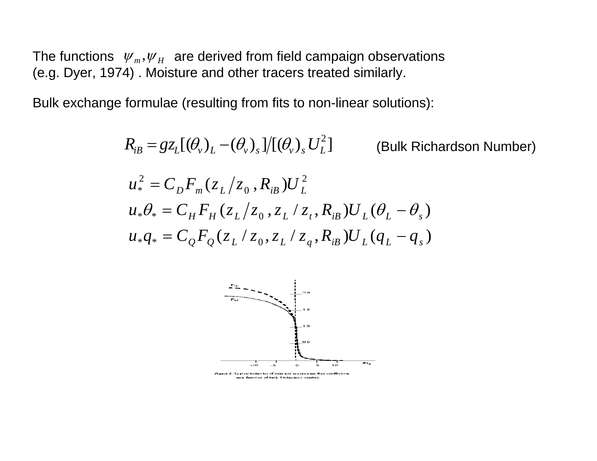The functions  $\mathcal{W}_m, \mathcal{W}_H$  are derived from field campaign observations (e.g. Dyer, 1974) . Moisture and other tracers treated similarly.

Bulk exchange formulae (resulting from fits to non-linear solutions):

$$
R_{iB} = g z_L [(\theta_v)_L - (\theta_v)_s]/[(\theta_v)_s U_L^2]
$$
 (Bulk Richardson Number)  
\n
$$
u_*^2 = C_D F_m (z_L/z_0, R_{iB}) U_L^2
$$
\n
$$
u_* \theta_* = C_H F_H (z_L/z_0, z_L/z_t, R_{iB}) U_L (\theta_L - \theta_s)
$$
\n
$$
u_* q_* = C_Q F_Q (z_L/z_0, z_L/z_q, R_{iB}) U_L (q_L - q_s)
$$



<sup>2.</sup> Typical behavior of heat and momentum flux coefficients as a function of bulk Richardson musber.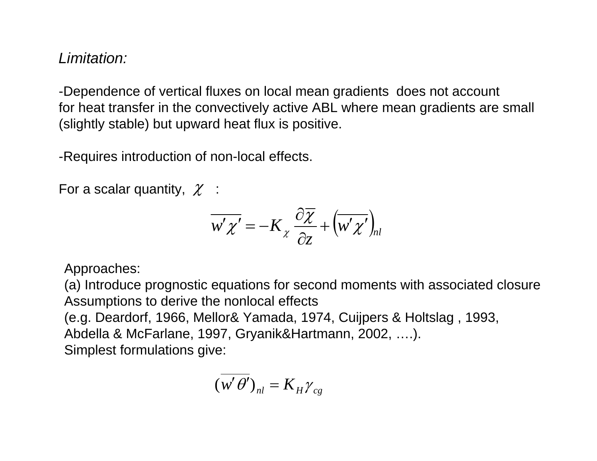## *Limitation:*

-Dependence of vertical fluxes on local mean gradients does not account for heat transfer in the convectively active ABL where mean gradients are small (slightly stable) but upward heat flux is positive.

-Requires introduction of non-local effects.

For a scalar quantity,  $\chi$  :

$$
\overline{w' \chi'} = -K_{\chi} \frac{\partial \overline{\chi}}{\partial z} + \left(\overline{w' \chi'}\right)_{nl}
$$

Approaches:

(a) Introduce prognostic equations for second moments with associated closure Assumptions to derive the nonlocal effects (e.g. Deardorf, 1966, Mellor& Yamada, 1974, Cuijpers & Holtslag , 1993, Abdella & McFarlane, 1997, Gryanik&Hartmann, 2002, ….). Simplest formulations give:

$$
(\overline{w'\theta'})_{nl} = K_H \gamma_{cg}
$$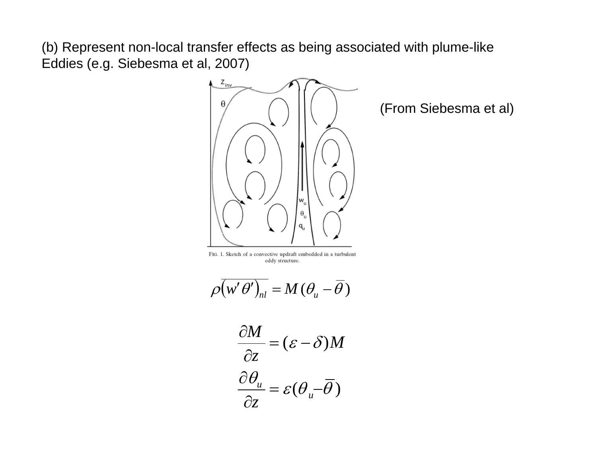(b) Represent non-local transfer effects as being associated with plume-like Eddies (e.g. Siebesma et al, 2007)



(From Siebesma et al)

FIG. 1. Sketch of a convective updraft embedded in a turbulent eddy structure.

$$
\rho \overline{(w' \theta')_{nl}} = M (\theta_u - \overline{\theta})
$$

$$
\frac{\partial M}{\partial z} = (\varepsilon - \delta) M
$$

$$
\frac{\partial \theta_u}{\partial z} = \varepsilon (\theta_u - \overline{\theta})
$$